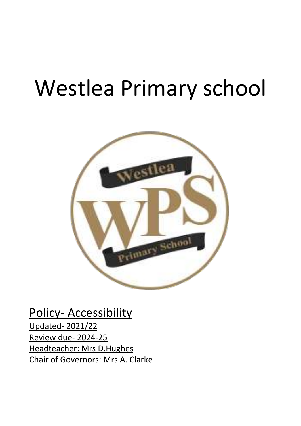# Westlea Primary school



Policy- Accessibility Updated- 2021/22 Review due- 2024-25 Headteacher: Mrs D.Hughes Chair of Governors: Mrs A. Clarke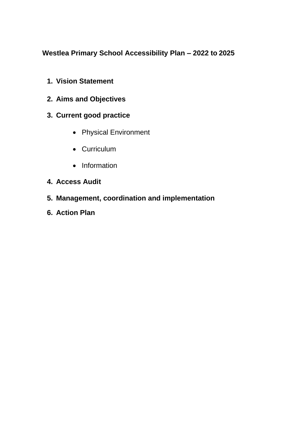**Westlea Primary School Accessibility Plan – 2022 to 2025**

- **1. Vision Statement**
- **2. Aims and Objectives**
- **3. Current good practice**
	- Physical Environment
	- Curriculum
	- Information
- **4. Access Audit**
- **5. Management, coordination and implementation**
- **6. Action Plan**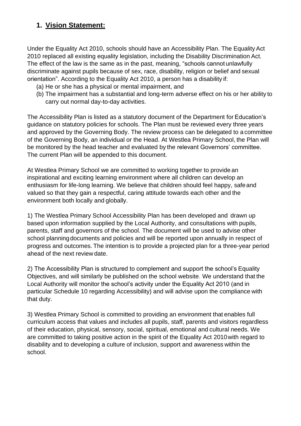# **1. Vision Statement:**

Under the Equality Act 2010, schools should have an Accessibility Plan. The Equality Act 2010 replaced all existing equality legislation, including the Disability Discrimination Act. The effect of the law is the same as in the past, meaning, "schools cannot unlawfully discriminate against pupils because of sex, race, disability, religion or belief and sexual orientation". According to the Equality Act 2010, a person has a disability if:

- (a) He or she has a physical or mental impairment, and
- (b) The impairment has a substantial and long-term adverse effect on his or her ability to carry out normal day-to-day activities.

The Accessibility Plan is listed as a statutory document of the Department for Education's guidance on statutory policies for schools. The Plan must be reviewed every three years and approved by the Governing Body. The review process can be delegated to a committee of the Governing Body, an individual or the Head. At Westlea Primary School, the Plan will be monitored by the head teacher and evaluated by the relevant Governors' committee. The current Plan will be appended to this document.

At Westlea Primary School we are committed to working together to provide an inspirational and exciting learning environment where all children can develop an enthusiasm for life-long learning. We believe that children should feel happy, safeand valued so that they gain a respectful, caring attitude towards each other and the environment both locally and globally.

1) The Westlea Primary School Accessibility Plan has been developed and drawn up based upon information supplied by the Local Authority, and consultations with pupils, parents, staff and governors of the school. The document will be used to advise other school planningdocuments and policies and will be reported upon annually in respect of progress and outcomes. The intention is to provide a projected plan for a three-year period ahead of the next review date.

2) The Accessibility Plan is structured to complement and support the school's Equality Objectives, and will similarly be published on the school website. We understand that the Local Authority will monitor the school's activity under the Equality Act 2010 (and in particular Schedule 10 regarding Accessibility) and will advise upon the compliance with that duty.

3) Westlea Primary School is committed to providing an environment that enables full curriculum access that values and includes all pupils, staff, parents and visitors regardless of their education, physical, sensory, social, spiritual, emotional and cultural needs. We are committed to taking positive action in the spirit of the Equality Act 2010with regard to disability and to developing a culture of inclusion, support and awareness within the school.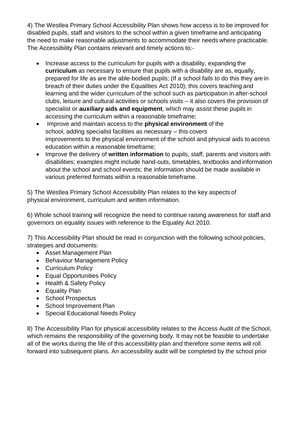4) The Westlea Primary School Accessibility Plan shows how access is to be improved for disabled pupils, staff and visitors to the school within a given timeframe and anticipating the need to make reasonable adjustments to accommodate their needs where practicable. The Accessibility Plan contains relevant and timely actions to:-

- Increase access to the curriculum for pupils with a disability, expanding the **curriculum** as necessary to ensure that pupils with a disability are as, equally, prepared for life as are the able-bodied pupils; (If a school fails to do this they are in breach of their duties under the Equalities Act 2010); this covers teaching and learning and the wider curriculum of the school such as participation in after-school clubs, leisure and cultural activities or schools visits – it also covers the provision of specialist or **auxiliary aids and equipment**, which may assist these pupils in accessing the curriculum within a reasonable timeframe;
- Improve and maintain access to the **physical environment** of the school, adding specialist facilities as necessary – this covers improvements to the physical environment of the school and physical aids to access education within a reasonable timeframe;
- Improve the delivery of **written information** to pupils, staff, parents and visitors with disabilities; examples might include hand-outs, timetables, textbooks and information about the school and school events; the information should be made available in various preferred formats within a reasonable timeframe.

5) The Westlea Primary School Accessibility Plan relates to the key aspects of physical environment, curriculum and written information.

6) Whole school training will recognize the need to continue raising awareness for staff and governors on equality issues with reference to the Equality Act 2010.

7) This Accessibility Plan should be read in conjunction with the following school policies, strategies and documents:

- Asset Management Plan
- Behaviour Management Policy
- Curriculum Policy
- Equal Opportunities Policy
- Health & Safety Policy
- Equality Plan
- School Prospectus
- School Improvement Plan
- Special Educational Needs Policy

8) The Accessibility Plan for physical accessibility relates to the Access Audit of the School, which remains the responsibility of the governing body. It may not be feasible to undertake all of the works during the life of this accessibility plan and therefore some items will roll forward into subsequent plans. An accessibility audit will be completed by the school prior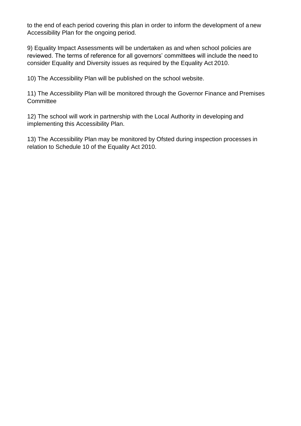to the end of each period covering this plan in order to inform the development of a new Accessibility Plan for the ongoing period.

9) Equality Impact Assessments will be undertaken as and when school policies are reviewed. The terms of reference for all governors' committees will include the need to consider Equality and Diversity issues as required by the Equality Act 2010.

10) The Accessibility Plan will be published on the school website.

11) The Accessibility Plan will be monitored through the Governor Finance and Premises **Committee** 

12) The school will work in partnership with the Local Authority in developing and implementing this Accessibility Plan.

13) The Accessibility Plan may be monitored by Ofsted during inspection processes in relation to Schedule 10 of the Equality Act 2010.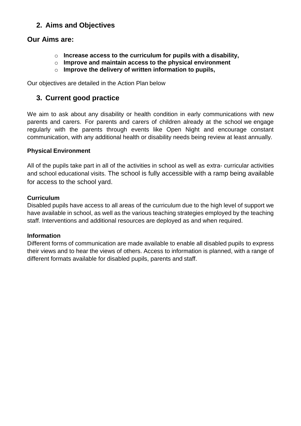# **2. Aims and Objectives**

## **Our Aims are:**

- o **Increase access to the curriculum for pupils with a disability,**
- o **Improve and maintain access to the physical environment**
- o **Improve the delivery of written information to pupils,**

Our objectives are detailed in the Action Plan below

# **3. Current good practice**

We aim to ask about any disability or health condition in early communications with new parents and carers. For parents and carers of children already at the school we engage regularly with the parents through events like Open Night and encourage constant communication, with any additional health or disability needs being review at least annually.

#### **Physical Environment**

All of the pupils take part in all of the activities in school as well as extra- curricular activities and school educational visits. The school is fully accessible with a ramp being available for access to the school yard.

#### **Curriculum**

Disabled pupils have access to all areas of the curriculum due to the high level of support we have available in school, as well as the various teaching strategies employed by the teaching staff. Interventions and additional resources are deployed as and when required.

#### **Information**

Different forms of communication are made available to enable all disabled pupils to express their views and to hear the views of others. Access to information is planned, with a range of different formats available for disabled pupils, parents and staff.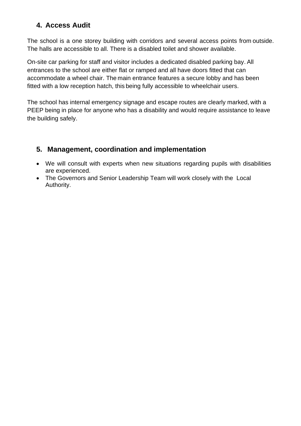# **4. Access Audit**

The school is a one storey building with corridors and several access points from outside. The halls are accessible to all. There is a disabled toilet and shower available.

On-site car parking for staff and visitor includes a dedicated disabled parking bay. All entrances to the school are either flat or ramped and all have doors fitted that can accommodate a wheel chair. The main entrance features a secure lobby and has been fitted with a low reception hatch, this being fully accessible to wheelchair users.

The school has internal emergency signage and escape routes are clearly marked, with a PEEP being in place for anyone who has a disability and would require assistance to leave the building safely.

# **5. Management, coordination and implementation**

- We will consult with experts when new situations regarding pupils with disabilities are experienced.
- The Governors and Senior Leadership Team will work closely with the Local Authority.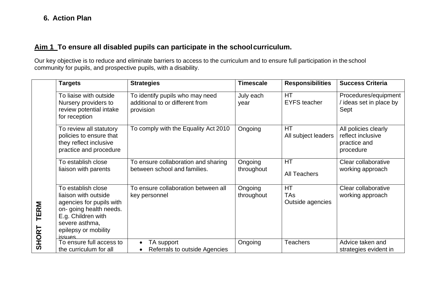# **Aim 1 To ensure all disabled pupils can participate in the schoolcurriculum.**

Our key objective is to reduce and eliminate barriers to access to the curriculum and to ensure full participation in the school community for pupils, and prospective pupils, with a disability.

|                             | <b>Targets</b>                                                                                                                                                               | <b>Strategies</b>                                                               | <b>Timescale</b>      | <b>Responsibilities</b>              | <b>Success Criteria</b>                                                |
|-----------------------------|------------------------------------------------------------------------------------------------------------------------------------------------------------------------------|---------------------------------------------------------------------------------|-----------------------|--------------------------------------|------------------------------------------------------------------------|
| <b>TERM</b><br><b>SHORT</b> | To liaise with outside<br>Nursery providers to<br>review potential intake<br>for reception                                                                                   | To identify pupils who may need<br>additional to or different from<br>provision | July each<br>year     | <b>HT</b><br><b>EYFS</b> teacher     | Procedures/equipment<br>ideas set in place by<br>Sept                  |
|                             | To review all statutory<br>policies to ensure that<br>they reflect inclusive<br>practice and procedure                                                                       | To comply with the Equality Act 2010                                            | Ongoing               | <b>HT</b><br>All subject leaders     | All policies clearly<br>reflect inclusive<br>practice and<br>procedure |
|                             | To establish close<br>liaison with parents                                                                                                                                   | To ensure collaboration and sharing<br>between school and families.             | Ongoing<br>throughout | HT<br><b>All Teachers</b>            | Clear collaborative<br>working approach                                |
|                             | To establish close<br>liaison with outside<br>agencies for pupils with<br>on- going health needs.<br>E.g. Children with<br>severe asthma,<br>epilepsy or mobility<br>issues. | To ensure collaboration between all<br>key personnel                            | Ongoing<br>throughout | <b>HT</b><br>TAs<br>Outside agencies | Clear collaborative<br>working approach                                |
|                             | To ensure full access to<br>the curriculum for all                                                                                                                           | TA support<br>Referrals to outside Agencies                                     | Ongoing               | <b>Teachers</b>                      | Advice taken and<br>strategies evident in                              |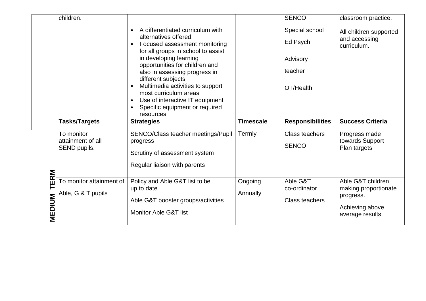|             | children.                                       |                                                                                                                                                                                                                                                                                                                                                                                                                                                        |                  | <b>SENCO</b>                                                   | classroom practice.                                    |
|-------------|-------------------------------------------------|--------------------------------------------------------------------------------------------------------------------------------------------------------------------------------------------------------------------------------------------------------------------------------------------------------------------------------------------------------------------------------------------------------------------------------------------------------|------------------|----------------------------------------------------------------|--------------------------------------------------------|
|             |                                                 | A differentiated curriculum with<br>$\bullet$<br>alternatives offered.<br>Focused assessment monitoring<br>$\bullet$<br>for all groups in school to assist<br>in developing learning<br>opportunities for children and<br>also in assessing progress in<br>different subjects<br>Multimedia activities to support<br>$\bullet$<br>most curriculum areas<br>Use of interactive IT equipment<br>$\bullet$<br>Specific equipment or required<br>resources |                  | Special school<br>Ed Psych<br>Advisory<br>teacher<br>OT/Health | All children supported<br>and accessing<br>curriculum. |
|             |                                                 |                                                                                                                                                                                                                                                                                                                                                                                                                                                        |                  |                                                                |                                                        |
|             | <b>Tasks/Targets</b>                            | <b>Strategies</b>                                                                                                                                                                                                                                                                                                                                                                                                                                      | <b>Timescale</b> | <b>Responsibilities</b>                                        | <b>Success Criteria</b>                                |
| <b>TERM</b> | To monitor<br>attainment of all<br>SEND pupils. | SENCO/Class teacher meetings/Pupil<br>progress<br>Scrutiny of assessment system<br>Regular liaison with parents                                                                                                                                                                                                                                                                                                                                        | Termly           | <b>Class teachers</b><br><b>SENCO</b>                          | Progress made<br>towards Support<br>Plan targets       |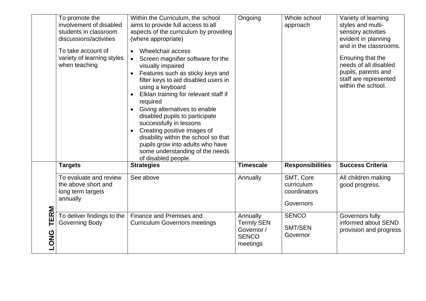|                     | To promote the<br>involvement of disabled<br>students in classroom<br>discussions/activities<br>To take account of<br>variety of learning styles<br>when teaching | Within the Curriculum, the school<br>aims to provide full access to all<br>aspects of the curriculum by providing<br>(where appropriate)<br>Wheelchair access<br>Screen magnifier software for the<br>visually impaired<br>Features such as sticky keys and<br>filter keys to aid disabled users in<br>using a keyboard<br>Elklan training for relevant staff if<br>required<br>Giving alternatives to enable<br>disabled pupils to participate<br>successfully in lessons<br>Creating positive images of<br>disability within the school so that<br>pupils grow into adults who have<br>some understanding of the needs<br>of disabled people. | Ongoing                                                                 | Whole school<br>approach                             | Variety of learning<br>styles and multi-<br>sensory activities<br>evident in planning<br>and in the classrooms.<br>Ensuring that the<br>needs of all disabled<br>pupils, parents and<br>staff are represented<br>within the school. |
|---------------------|-------------------------------------------------------------------------------------------------------------------------------------------------------------------|-------------------------------------------------------------------------------------------------------------------------------------------------------------------------------------------------------------------------------------------------------------------------------------------------------------------------------------------------------------------------------------------------------------------------------------------------------------------------------------------------------------------------------------------------------------------------------------------------------------------------------------------------|-------------------------------------------------------------------------|------------------------------------------------------|-------------------------------------------------------------------------------------------------------------------------------------------------------------------------------------------------------------------------------------|
|                     | <b>Targets</b>                                                                                                                                                    | <b>Strategies</b>                                                                                                                                                                                                                                                                                                                                                                                                                                                                                                                                                                                                                               | <b>Timescale</b>                                                        | <b>Responsibilities</b>                              | <b>Success Criteria</b>                                                                                                                                                                                                             |
|                     | To evaluate and review<br>the above short and<br>long term targets<br>annually                                                                                    | See above                                                                                                                                                                                                                                                                                                                                                                                                                                                                                                                                                                                                                                       | Annually                                                                | SMT, Core<br>curriculum<br>coordinators<br>Governors | All children making<br>good progress.                                                                                                                                                                                               |
| TERM<br><b>LONG</b> | To deliver findings to the<br><b>Governing Body</b>                                                                                                               | Finance and Premises and<br><b>Curriculum Governors meetings</b>                                                                                                                                                                                                                                                                                                                                                                                                                                                                                                                                                                                | Annually<br><b>Termly SEN</b><br>Governor /<br><b>SENCO</b><br>meetings | <b>SENCO</b><br>SMT/SEN<br>Governor                  | Governors fully<br>informed about SEND<br>provision and progress                                                                                                                                                                    |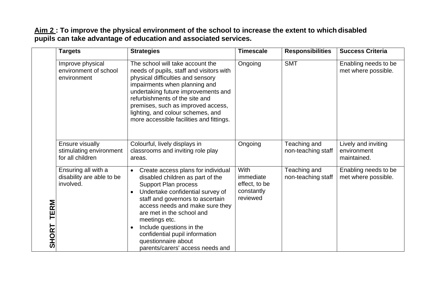### **Aim 2 : To improve the physical environment of the school to increase the extent to which disabled pupils can take advantage of education and associated services.**

|                             | <b>Targets</b>                                                 | <b>Strategies</b>                                                                                                                                                                                                                                                                                                                                                                                    | <b>Timescale</b>                                             | <b>Responsibilities</b>            | <b>Success Criteria</b>                           |
|-----------------------------|----------------------------------------------------------------|------------------------------------------------------------------------------------------------------------------------------------------------------------------------------------------------------------------------------------------------------------------------------------------------------------------------------------------------------------------------------------------------------|--------------------------------------------------------------|------------------------------------|---------------------------------------------------|
| <b>TERM</b><br><b>SHORT</b> | Improve physical<br>environment of school<br>environment       | The school will take account the<br>needs of pupils, staff and visitors with<br>physical difficulties and sensory<br>impairments when planning and<br>undertaking future improvements and<br>refurbishments of the site and<br>premises, such as improved access,<br>lighting, and colour schemes, and<br>more accessible facilities and fittings.                                                   | Ongoing                                                      | <b>SMT</b>                         | Enabling needs to be<br>met where possible.       |
|                             | Ensure visually<br>stimulating environment<br>for all children | Colourful, lively displays in<br>classrooms and inviting role play<br>areas.                                                                                                                                                                                                                                                                                                                         | Ongoing                                                      | Teaching and<br>non-teaching staff | Lively and inviting<br>environment<br>maintained. |
|                             | Ensuring all with a<br>disability are able to be<br>involved.  | Create access plans for individual<br>$\bullet$<br>disabled children as part of the<br><b>Support Plan process</b><br>Undertake confidential survey of<br>staff and governors to ascertain<br>access needs and make sure they<br>are met in the school and<br>meetings etc.<br>Include questions in the<br>confidential pupil information<br>questionnaire about<br>parents/carers' access needs and | With<br>immediate<br>effect, to be<br>constantly<br>reviewed | Teaching and<br>non-teaching staff | Enabling needs to be<br>met where possible.       |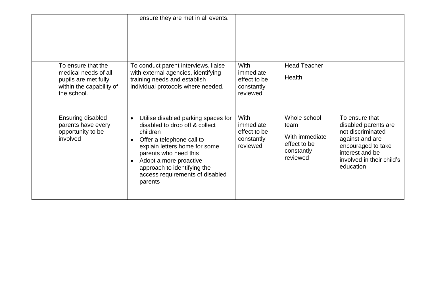|                                                                                                               | ensure they are met in all events.                                                                                                                                                                                                                                                           |                                                                    |                                                                                  |                                                                                                                                                                   |
|---------------------------------------------------------------------------------------------------------------|----------------------------------------------------------------------------------------------------------------------------------------------------------------------------------------------------------------------------------------------------------------------------------------------|--------------------------------------------------------------------|----------------------------------------------------------------------------------|-------------------------------------------------------------------------------------------------------------------------------------------------------------------|
| To ensure that the<br>medical needs of all<br>pupils are met fully<br>within the capability of<br>the school. | To conduct parent interviews, liaise<br>with external agencies, identifying<br>training needs and establish<br>individual protocols where needed.                                                                                                                                            | <b>With</b><br>immediate<br>effect to be<br>constantly<br>reviewed | <b>Head Teacher</b><br>Health                                                    |                                                                                                                                                                   |
| Ensuring disabled<br>parents have every<br>opportunity to be<br>involved                                      | Utilise disabled parking spaces for<br>$\bullet$<br>disabled to drop off & collect<br>children<br>Offer a telephone call to<br>explain letters home for some<br>parents who need this<br>Adopt a more proactive<br>approach to identifying the<br>access requirements of disabled<br>parents | <b>With</b><br>immediate<br>effect to be<br>constantly<br>reviewed | Whole school<br>team<br>With immediate<br>effect to be<br>constantly<br>reviewed | To ensure that<br>disabled parents are<br>not discriminated<br>against and are<br>encouraged to take<br>interest and be<br>involved in their child's<br>education |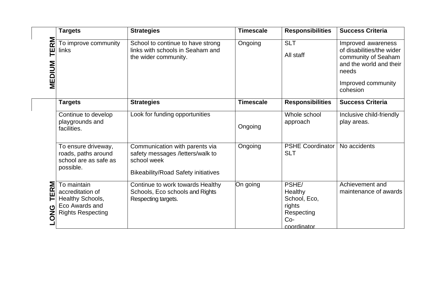|                          | <b>Targets</b>                                                                                    | <b>Strategies</b>                                                                                                               | <b>Timescale</b> | <b>Responsibilities</b>                                                          | <b>Success Criteria</b>                                                                                                                      |
|--------------------------|---------------------------------------------------------------------------------------------------|---------------------------------------------------------------------------------------------------------------------------------|------------------|----------------------------------------------------------------------------------|----------------------------------------------------------------------------------------------------------------------------------------------|
| <b>RM</b><br>凹<br>MEDIUM | To improve community<br>links                                                                     | School to continue to have strong<br>links with schools in Seaham and<br>the wider community.                                   | Ongoing          | <b>SLT</b><br>All staff                                                          | Improved awareness<br>of disabilities/the wider<br>community of Seaham<br>and the world and their<br>needs<br>Improved community<br>cohesion |
|                          | <b>Targets</b>                                                                                    | <b>Strategies</b>                                                                                                               | <b>Timescale</b> | <b>Responsibilities</b>                                                          | <b>Success Criteria</b>                                                                                                                      |
|                          | Continue to develop<br>playgrounds and<br>facilities.                                             | Look for funding opportunities                                                                                                  | Ongoing          | Whole school<br>approach                                                         | Inclusive child-friendly<br>play areas.                                                                                                      |
|                          | To ensure driveway,<br>roads, paths around<br>school are as safe as<br>possible.                  | Communication with parents via<br>safety messages /letters/walk to<br>school week<br><b>Bikeability/Road Safety initiatives</b> | Ongoing          | <b>PSHE Coordinator</b><br><b>SLT</b>                                            | No accidents                                                                                                                                 |
| ERM<br>ONG               | To maintain<br>accreditation of<br>Healthy Schools,<br>Eco Awards and<br><b>Rights Respecting</b> | Continue to work towards Healthy<br>Schools, Eco schools and Rights<br>Respecting targets.                                      | On going         | PSHE/<br>Healthy<br>School, Eco,<br>rights<br>Respecting<br>$Co-$<br>coordinator | Achievement and<br>maintenance of awards                                                                                                     |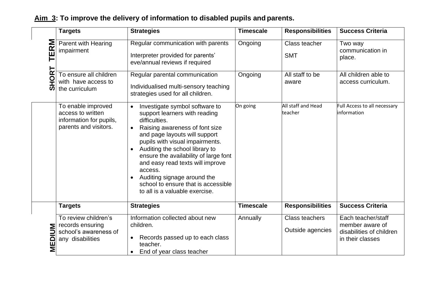|                                     | <b>Targets</b>                                                                              | <b>Strategies</b>                                                                                                                                                                                                                                                                                                                                                                                                                     | <b>Timescale</b> | <b>Responsibilities</b>                   | <b>Success Criteria</b>                                                               |
|-------------------------------------|---------------------------------------------------------------------------------------------|---------------------------------------------------------------------------------------------------------------------------------------------------------------------------------------------------------------------------------------------------------------------------------------------------------------------------------------------------------------------------------------------------------------------------------------|------------------|-------------------------------------------|---------------------------------------------------------------------------------------|
| <b>ERM</b><br>HOR <sup>-</sup><br>ທ | Parent with Hearing<br>impairment                                                           | Regular communication with parents<br>Interpreter provided for parents'<br>eve/annual reviews if required                                                                                                                                                                                                                                                                                                                             | Ongoing          | Class teacher<br><b>SMT</b>               | Two way<br>communication in<br>place.                                                 |
|                                     | To ensure all children<br>with have access to<br>the curriculum                             | Regular parental communication<br>Individualised multi-sensory teaching<br>strategies used for all children.                                                                                                                                                                                                                                                                                                                          | Ongoing          | All staff to be<br>aware                  | All children able to<br>access curriculum.                                            |
|                                     | To enable improved<br>access to written<br>information for pupils,<br>parents and visitors. | Investigate symbol software to<br>support learners with reading<br>difficulties.<br>Raising awareness of font size<br>$\bullet$<br>and page layouts will support<br>pupils with visual impairments.<br>Auditing the school library to<br>ensure the availability of large font<br>and easy read texts will improve<br>access.<br>Auditing signage around the<br>school to ensure that is accessible<br>to all is a valuable exercise. | On going         | All staff and Head<br>teacher             | Full Access to all necessary<br>information                                           |
|                                     | <b>Targets</b>                                                                              | <b>Strategies</b>                                                                                                                                                                                                                                                                                                                                                                                                                     | <b>Timescale</b> | <b>Responsibilities</b>                   | <b>Success Criteria</b>                                                               |
| <b>MEDIUM</b>                       | To review children's<br>records ensuring<br>school's awareness of<br>any disabilities       | Information collected about new<br>children.<br>Records passed up to each class<br>teacher.<br>End of year class teacher                                                                                                                                                                                                                                                                                                              | Annually         | <b>Class teachers</b><br>Outside agencies | Each teacher/staff<br>member aware of<br>disabilities of children<br>in their classes |

# **Aim 3: To improve the delivery of information to disabled pupils and parents.**